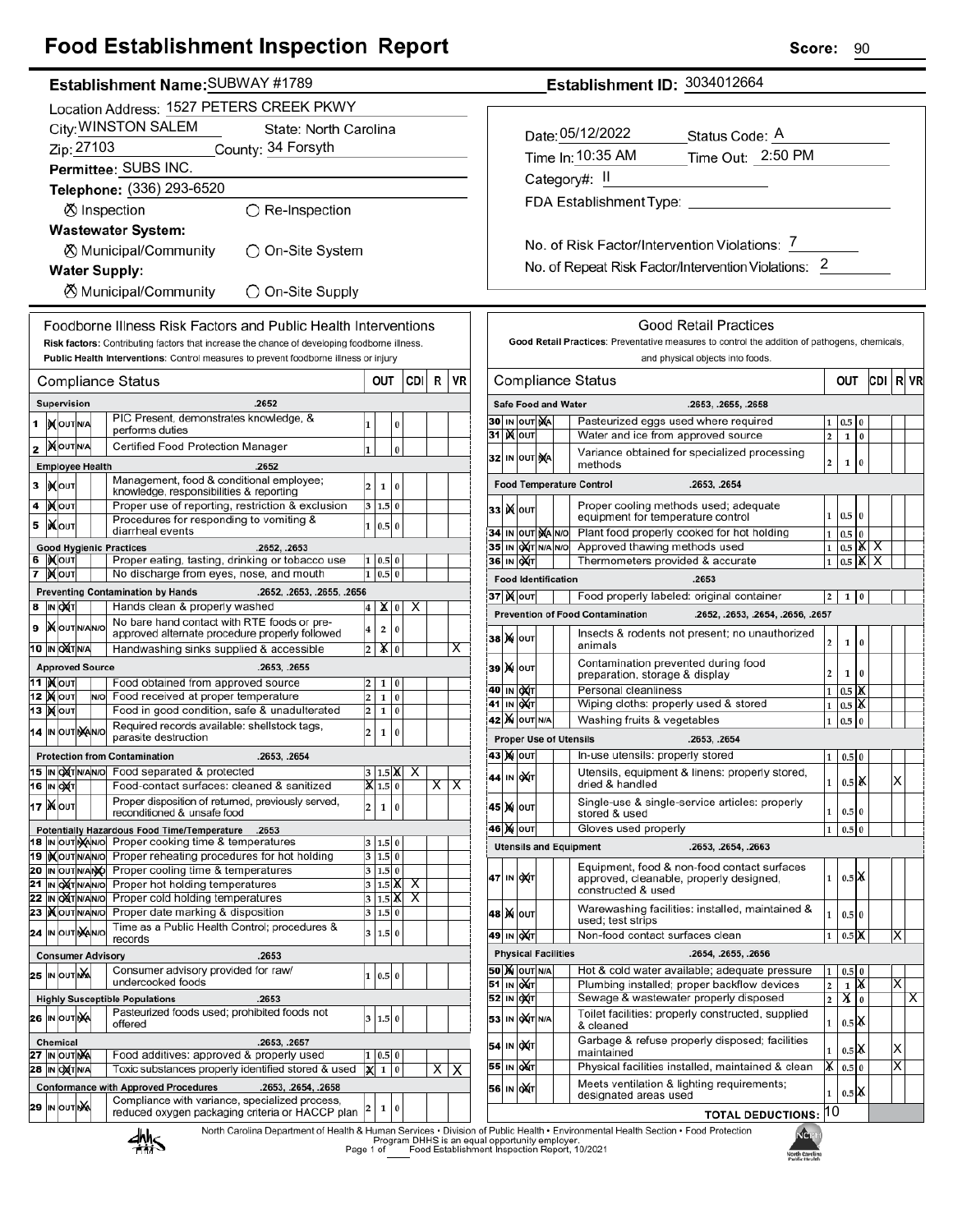## **Food Establishment Inspection Report**

### Establishment Name: SUBWAY #1789

|        | Location Address: 1527 PETERS CREEK PKWY                                                                                                                                         |                                          |  |                                                                           |                                                                                                                                                                                      |        |                           |          |        |    |    |  |
|--------|----------------------------------------------------------------------------------------------------------------------------------------------------------------------------------|------------------------------------------|--|---------------------------------------------------------------------------|--------------------------------------------------------------------------------------------------------------------------------------------------------------------------------------|--------|---------------------------|----------|--------|----|----|--|
|        | City: WINSTON SALEM<br>State: North Carolina                                                                                                                                     |                                          |  |                                                                           |                                                                                                                                                                                      |        |                           |          |        |    |    |  |
|        |                                                                                                                                                                                  | Zip: 27103                               |  |                                                                           | County: 34 Forsyth                                                                                                                                                                   |        |                           |          |        |    |    |  |
|        |                                                                                                                                                                                  |                                          |  |                                                                           | Permittee: SUBS INC.                                                                                                                                                                 |        |                           |          |        |    |    |  |
|        |                                                                                                                                                                                  |                                          |  |                                                                           | Telephone: (336) 293-6520                                                                                                                                                            |        |                           |          |        |    |    |  |
|        |                                                                                                                                                                                  |                                          |  |                                                                           | <b>Ø</b> Inspection<br>$\bigcirc$ Re-Inspection                                                                                                                                      |        |                           |          |        |    |    |  |
|        |                                                                                                                                                                                  |                                          |  |                                                                           | <b>Wastewater System:</b>                                                                                                                                                            |        |                           |          |        |    |    |  |
|        |                                                                                                                                                                                  |                                          |  |                                                                           | ⊗ Municipal/Community<br>On-Site System                                                                                                                                              |        |                           |          |        |    |    |  |
|        |                                                                                                                                                                                  |                                          |  |                                                                           | <b>Water Supply:</b>                                                                                                                                                                 |        |                           |          |        |    |    |  |
|        | ⊗ Municipal/Community<br>◯ On-Site Supply                                                                                                                                        |                                          |  |                                                                           |                                                                                                                                                                                      |        |                           |          |        |    |    |  |
|        | Foodborne Illness Risk Factors and Public Health Interventions                                                                                                                   |                                          |  |                                                                           |                                                                                                                                                                                      |        |                           |          |        |    |    |  |
|        |                                                                                                                                                                                  |                                          |  |                                                                           | Risk factors: Contributing factors that increase the chance of developing foodborne illness.<br>Public Health Interventions: Control measures to prevent foodborne illness or injury |        |                           |          |        |    |    |  |
|        |                                                                                                                                                                                  |                                          |  |                                                                           | <b>Compliance Status</b>                                                                                                                                                             |        | OUT                       |          | CDI    | R  | VR |  |
|        |                                                                                                                                                                                  | Supervision                              |  |                                                                           | .2652                                                                                                                                                                                |        |                           |          |        |    |    |  |
| 1      |                                                                                                                                                                                  | IN OUT N/A                               |  |                                                                           | PIC Present, demonstrates knowledge, &<br>performs duties                                                                                                                            | 1      |                           | 0        |        |    |    |  |
| 2      |                                                                                                                                                                                  | <b>MOUTINA</b>                           |  |                                                                           | Certified Food Protection Manager                                                                                                                                                    | 1      |                           | $\bf{0}$ |        |    |    |  |
|        |                                                                                                                                                                                  | <b>Employee Health</b>                   |  |                                                                           | .2652                                                                                                                                                                                |        |                           |          |        |    |    |  |
| 3      |                                                                                                                                                                                  | <b>IX</b> OUT                            |  |                                                                           | Management, food & conditional employee;<br>knowledge, responsibilities & reporting                                                                                                  | 2      | 1                         | 0        |        |    |    |  |
| 4      |                                                                                                                                                                                  | <b>KOUT</b>                              |  |                                                                           | Proper use of reporting, restriction & exclusion                                                                                                                                     | 3      | 1.5                       | 0        |        |    |    |  |
| 5      |                                                                                                                                                                                  | IiXo∪т                                   |  |                                                                           | Procedures for responding to vomiting &<br>diarrheal events                                                                                                                          | 1      | 0.5                       | $\bf{0}$ |        |    |    |  |
|        |                                                                                                                                                                                  |                                          |  |                                                                           | <b>Good Hygienic Practices</b><br>.2652, .2653                                                                                                                                       |        |                           |          |        |    |    |  |
| 6<br>7 |                                                                                                                                                                                  | IX OUT<br>I)X ∣ouт                       |  |                                                                           | Proper eating, tasting, drinking or tobacco use<br>No discharge from eyes, nose, and mouth                                                                                           | 1<br>1 | 0.5 0<br>0.5              | $\bf{0}$ |        |    |    |  |
|        |                                                                                                                                                                                  |                                          |  |                                                                           | <b>Preventing Contamination by Hands</b><br>.2652, .2653, .2655, .2656                                                                                                               |        |                           |          |        |    |    |  |
| 8      |                                                                                                                                                                                  | IN OXT                                   |  |                                                                           | Hands clean & properly washed                                                                                                                                                        | 4      | x                         | 0        | х      |    |    |  |
| 9      |                                                                                                                                                                                  | <b>IX</b> OUT N/AN/O                     |  |                                                                           | No bare hand contact with RTE foods or pre-<br>approved alternate procedure properly followed                                                                                        | 4      | 2                         | 0        |        |    |    |  |
|        |                                                                                                                                                                                  | 10  IN OXT N/A                           |  |                                                                           | Handwashing sinks supplied & accessible                                                                                                                                              | 2      | x                         | $\bf{0}$ |        |    | X. |  |
|        |                                                                                                                                                                                  | <b>Approved Source</b>                   |  |                                                                           | .2653, .2655                                                                                                                                                                         |        |                           |          |        |    |    |  |
|        |                                                                                                                                                                                  | 11  ) <b>χ</b> ουτ                       |  |                                                                           | Food obtained from approved source                                                                                                                                                   | 2      | 1                         | 0        |        |    |    |  |
|        |                                                                                                                                                                                  | <b>12  Χ</b> Ιουτ<br>13   <b>)(</b>  оит |  | N/O                                                                       | Food received at proper temperature<br>2<br>0<br>1<br>Food in good condition, safe & unadulterated<br>2<br>1<br>0                                                                    |        |                           |          |        |    |    |  |
|        |                                                                                                                                                                                  | 14 IN OUT NAINO                          |  |                                                                           | Required records available: shellstock tags,<br>2<br>1<br>0                                                                                                                          |        |                           |          |        |    |    |  |
|        |                                                                                                                                                                                  |                                          |  |                                                                           | parasite destruction<br><b>Protection from Contamination</b><br>.2653, .2654                                                                                                         |        |                           |          |        |    |    |  |
|        |                                                                                                                                                                                  | 15  IN OXTN/AN/O                         |  |                                                                           | Food separated & protected                                                                                                                                                           |        | 1.5                       |          |        |    |    |  |
|        |                                                                                                                                                                                  | <b>16 IN OXT</b>                         |  | Food-contact surfaces: cleaned & sanitized<br>$\vert X \vert 1.5 \vert 0$ |                                                                                                                                                                                      |        |                           |          |        | ΧI | X  |  |
|        |                                                                                                                                                                                  | 17 XOUT                                  |  |                                                                           | Proper disposition of returned, previously served,<br>reconditioned & unsafe food                                                                                                    | 2      | 1                         | 0        |        |    |    |  |
|        |                                                                                                                                                                                  |                                          |  |                                                                           | Potentially Hazardous Food Time/Temperature<br>.2653                                                                                                                                 |        |                           |          |        |    |    |  |
|        |                                                                                                                                                                                  | 18 IN OUT MAINO<br>19   XOUTNANO         |  |                                                                           | Proper cooking time & temperatures<br>Proper reheating procedures for hot holding                                                                                                    | 3<br>3 | 1.5 0<br>1.5 0            |          |        |    |    |  |
|        |                                                                                                                                                                                  | 20 IN OUT N/ANO                          |  |                                                                           | Proper cooling time & temperatures                                                                                                                                                   |        | 3   1.5   0               |          |        |    |    |  |
|        |                                                                                                                                                                                  | 21 IN OXTNANO<br>22 IN OXTNANO           |  |                                                                           | Proper hot holding temperatures<br>Proper cold holding temperatures                                                                                                                  | 3      | $1.5\vert\text{X}$        |          | х<br>х |    |    |  |
|        |                                                                                                                                                                                  | 23   OUTNANO                             |  |                                                                           | Proper date marking & disposition                                                                                                                                                    | 3<br>3 | $1.5$ $\mathsf{X}$<br>1.5 | 0        |        |    |    |  |
|        |                                                                                                                                                                                  | 24 IN OUT NANO                           |  |                                                                           | Time as a Public Health Control; procedures &<br>records                                                                                                                             | 3      | 1.5                       | $\bf{0}$ |        |    |    |  |
|        |                                                                                                                                                                                  |                                          |  |                                                                           | <b>Consumer Advisory</b><br>.2653                                                                                                                                                    |        |                           |          |        |    |    |  |
|        |                                                                                                                                                                                  | 25 IN OUT NA                             |  |                                                                           | Consumer advisory provided for raw/<br>undercooked foods                                                                                                                             | 1      | 0.5 0                     |          |        |    |    |  |
|        |                                                                                                                                                                                  |                                          |  |                                                                           | <b>Highly Susceptible Populations</b><br>.2653                                                                                                                                       |        |                           |          |        |    |    |  |
|        |                                                                                                                                                                                  | 26 IN OUTINA                             |  |                                                                           | Pasteurized foods used; prohibited foods not<br>offered                                                                                                                              | 3      | 1.5                       | 0        |        |    |    |  |
|        | .2653, .2657<br>Chemical                                                                                                                                                         |                                          |  |                                                                           |                                                                                                                                                                                      |        |                           |          |        |    |    |  |
|        | Food additives: approved & properly used<br>27 IN OUT NA<br>0.5<br>0<br>1<br>Toxic substances properly identified stored & used<br><b>28 IN OXTNA</b><br>1<br>$\bf{0}$<br>х<br>X |                                          |  |                                                                           |                                                                                                                                                                                      |        |                           |          | X      |    |    |  |
|        | <b>Conformance with Approved Procedures</b><br>.2653, .2654, .2658                                                                                                               |                                          |  |                                                                           |                                                                                                                                                                                      |        |                           |          |        |    |    |  |
|        |                                                                                                                                                                                  | 29 IN OUT NA                             |  |                                                                           | Compliance with variance, specialized process,<br>reduced oxygen packaging criteria or HACCP plan                                                                                    | 2      | 1                         | 0        |        |    |    |  |
|        |                                                                                                                                                                                  |                                          |  |                                                                           | North Carolina Department of Health & Human Services . Divisi<br><b>ILL</b>                                                                                                          |        |                           |          |        |    |    |  |

Establishment ID: 3034012664 Date: 05/12/2022 Status Code: A Time In: 10:35 AM Time Out: 2:50 PM Category#: II FDA Establishment Type: No. of Risk Factor/Intervention Violations: 7 No. of Repeat Risk Factor/Intervention Violations: 2

|                          |                                                                                                                              |                                                                                   |                                                                                                    |   | <b>Good Retail Practices</b>                                                                  |                         |                    |          |       |                         |  |
|--------------------------|------------------------------------------------------------------------------------------------------------------------------|-----------------------------------------------------------------------------------|----------------------------------------------------------------------------------------------------|---|-----------------------------------------------------------------------------------------------|-------------------------|--------------------|----------|-------|-------------------------|--|
|                          |                                                                                                                              |                                                                                   |                                                                                                    |   | Good Retail Practices: Preventative measures to control the addition of pathogens, chemicals, |                         |                    |          |       |                         |  |
|                          |                                                                                                                              |                                                                                   |                                                                                                    |   | and physical objects into foods.                                                              |                         |                    |          |       |                         |  |
| Compliance Status<br>OUT |                                                                                                                              |                                                                                   |                                                                                                    |   |                                                                                               |                         |                    |          | CDI I | R VR                    |  |
|                          |                                                                                                                              | <b>Safe Food and Water</b>                                                        |                                                                                                    |   | .2653, .2655, .2658                                                                           |                         |                    |          |       |                         |  |
| 30                       |                                                                                                                              | IN OUT NA                                                                         |                                                                                                    |   | Pasteurized eggs used where required                                                          | 1                       | 0.5                | 0        |       |                         |  |
| 31                       |                                                                                                                              | <b>X</b> OUT                                                                      |                                                                                                    |   | Water and ice from approved source                                                            | $\overline{\mathbf{c}}$ | $\mathbf{1}$       | $\bf{0}$ |       |                         |  |
|                          | Variance obtained for specialized processing<br>32 IN OUT NA<br>methods                                                      |                                                                                   |                                                                                                    |   |                                                                                               | 2                       | 1                  | 0        |       |                         |  |
|                          |                                                                                                                              |                                                                                   |                                                                                                    |   | <b>Food Temperature Control</b><br>.2653, .2654                                               |                         |                    |          |       |                         |  |
|                          |                                                                                                                              | <b>33  )(</b>  оит                                                                | Proper cooling methods used; adequate<br>0.5<br>$\bf{0}$<br>1<br>equipment for temperature control |   |                                                                                               |                         |                    |          |       |                         |  |
|                          |                                                                                                                              | 34 IN OUT MAINO                                                                   |                                                                                                    |   | Plant food properly cooked for hot holding                                                    | 1                       | 0.5                | $\Omega$ |       |                         |  |
|                          |                                                                                                                              | 35 IN OUT N/A N/O                                                                 |                                                                                                    |   | Approved thawing methods used                                                                 | 1                       | $0.5$ $\mathsf{K}$ |          | х     |                         |  |
| 36 IN                    |                                                                                                                              | охт                                                                               |                                                                                                    |   | Thermometers provided & accurate                                                              | 1                       | 0.5                | й        | х     |                         |  |
|                          |                                                                                                                              | <b>Food Identification</b>                                                        |                                                                                                    |   | .2653                                                                                         |                         |                    |          |       |                         |  |
|                          |                                                                                                                              | 37  )( oυτ                                                                        |                                                                                                    |   | Food properly labeled: original container                                                     | 2                       | 1                  | 0        |       |                         |  |
|                          |                                                                                                                              |                                                                                   |                                                                                                    |   | <b>Prevention of Food Contamination</b><br>.2652, .2653, .2654, .2656, .2657                  |                         |                    |          |       |                         |  |
|                          |                                                                                                                              | <b>38 X</b>  оит                                                                  |                                                                                                    |   | Insects & rodents not present; no unauthorized<br>animals                                     | 2                       | 1                  | 0        |       |                         |  |
|                          | Contamination prevented during food<br><b>39 X</b>  оυт<br>preparation, storage & display                                    |                                                                                   |                                                                                                    |   |                                                                                               |                         | 1                  | 0        |       |                         |  |
| 40 I                     | Personal cleanliness<br>IN <b>DA</b> T                                                                                       |                                                                                   |                                                                                                    |   |                                                                                               |                         | 0.5                | х        |       |                         |  |
| 41                       | IN                                                                                                                           | <b>OXT</b>                                                                        |                                                                                                    |   | Wiping cloths: properly used & stored                                                         | 1<br>1                  | 0.5                | Ж        |       |                         |  |
|                          | <b>42 M</b> OUT N/A<br>Washing fruits & vegetables                                                                           |                                                                                   |                                                                                                    |   |                                                                                               |                         |                    | 0        |       |                         |  |
|                          |                                                                                                                              |                                                                                   |                                                                                                    |   | <b>Proper Use of Utensils</b><br>.2653, .2654                                                 | 1                       | 0.5                |          |       |                         |  |
|                          |                                                                                                                              | 43   ) <b>(</b>   оит                                                             |                                                                                                    |   | In-use utensils: properly stored                                                              | 1                       | 0.5                | $\bf{0}$ |       |                         |  |
| 441                      |                                                                                                                              | Utensils, equipment & linens: properly stored,<br>OХИТ<br>IN I<br>dried & handled |                                                                                                    | 1 | 0.5                                                                                           | х                       |                    | Χ        |       |                         |  |
|                          | Single-use & single-service articles: properly<br>45 M I<br>OUT<br>0.5<br>$\bf{0}$<br>1<br>stored & used                     |                                                                                   |                                                                                                    |   |                                                                                               |                         |                    |          |       |                         |  |
|                          | Gloves used properly<br>46 M<br>OUT<br>1<br>0.5<br>0                                                                         |                                                                                   |                                                                                                    |   |                                                                                               |                         |                    |          |       |                         |  |
|                          |                                                                                                                              |                                                                                   |                                                                                                    |   | .2653, .2654, .2663<br><b>Utensils and Equipment</b>                                          |                         |                    |          |       |                         |  |
|                          | Equipment, food & non-food contact surfaces<br>47 IN<br>OXT<br>approved, cleanable, properly designed,<br>constructed & used |                                                                                   |                                                                                                    |   |                                                                                               | 1                       | $0.5$ IX           |          |       |                         |  |
|                          | Warewashing facilities: installed, maintained &<br>48   Χ  Ιουτ<br>used: test strips                                         |                                                                                   |                                                                                                    |   |                                                                                               | 1                       | 0.5 0              |          |       |                         |  |
| 49                       | IN                                                                                                                           | оХт                                                                               |                                                                                                    |   | Non-food contact surfaces clean                                                               | 1                       | 0.5                | X        |       | X                       |  |
|                          |                                                                                                                              | <b>Physical Facilities</b>                                                        |                                                                                                    |   | .2654, .2655, .2656                                                                           |                         |                    |          |       |                         |  |
|                          | <b>50 M</b> OUT N/A<br>Hot & cold water available; adequate pressure                                                         |                                                                                   |                                                                                                    |   |                                                                                               | 1                       | 0.5                | $\bf{0}$ |       |                         |  |
| 51                       | IN                                                                                                                           | Plumbing installed; proper backflow devices<br>ON T                               |                                                                                                    |   |                                                                                               | $\overline{\mathbf{c}}$ | 1                  | X        |       | X                       |  |
| 52                       | Sewage & wastewater properly disposed<br>IN OUT<br>$\overline{a}$                                                            |                                                                                   |                                                                                                    |   |                                                                                               | x                       | $\bf{0}$           |          |       |                         |  |
|                          | Toilet facilities: properly constructed, supplied<br>53 IN OXT N/A<br>$0.5$ $\mathsf{K}$<br>1<br>& cleaned                   |                                                                                   |                                                                                                    |   |                                                                                               |                         |                    |          |       |                         |  |
|                          |                                                                                                                              | 54 IN OXT                                                                         |                                                                                                    |   | Garbage & refuse properly disposed; facilities<br>maintained                                  | 1                       | $0.5$ $\mathbb{X}$ |          |       | Х                       |  |
|                          |                                                                                                                              | 55 IN OXT                                                                         |                                                                                                    |   | Physical facilities installed, maintained & clean                                             | X.                      | 0.5                | 0        |       | $\overline{\mathsf{x}}$ |  |
|                          |                                                                                                                              | 56 IN OXT                                                                         |                                                                                                    |   | Meets ventilation & lighting requirements;<br>designated areas used                           | 1                       | $0.5$ $\mathsf{K}$ |          |       |                         |  |
|                          |                                                                                                                              |                                                                                   |                                                                                                    |   | <b>TOTAL DEDUCTIONS:</b>                                                                      | 10                      |                    |          |       |                         |  |
|                          |                                                                                                                              |                                                                                   |                                                                                                    |   | on of Public Health · Environmental Health Section · Food Protection<br><b>A</b>              |                         |                    |          |       |                         |  |



alth & Human Services • Division of Public Health • Environmenta<br>Program DHHS is an equal opportunity employer.<br>Page 1 of Food Establishment Inspection Report, 10/2021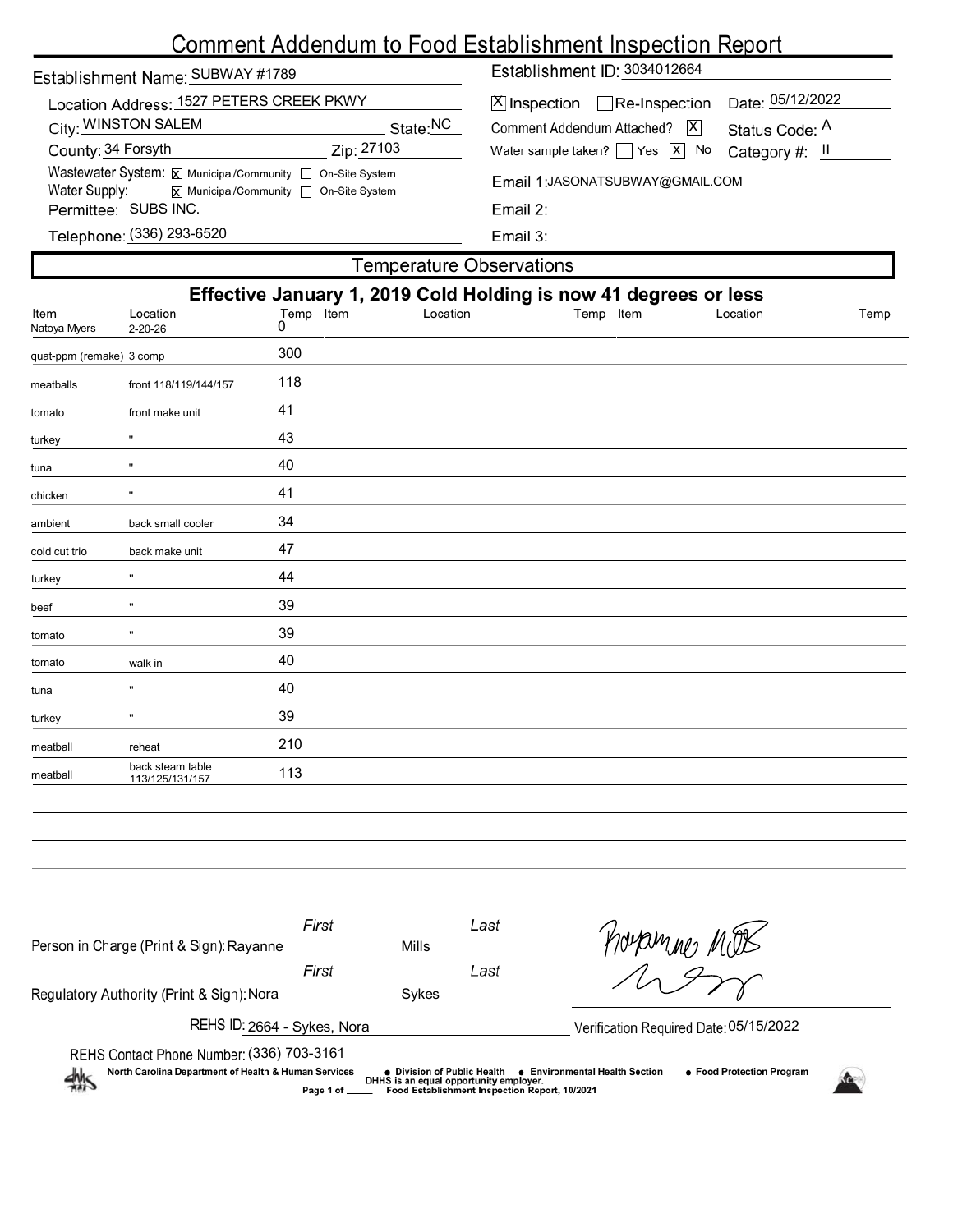# Comment Addendum to Food Establishment Inspection Report

| Establishment Name: SUBWAY #1789                                                                                                       |            | Establishment ID: 3034012664                                               |                                    |  |  |  |  |
|----------------------------------------------------------------------------------------------------------------------------------------|------------|----------------------------------------------------------------------------|------------------------------------|--|--|--|--|
| Location Address: 1527 PETERS CREEK PKWY<br>City: WINSTON SALEM                                                                        | State:NC   | $[X]$ Inspection $\Box$ Re-Inspection<br>IXI<br>Comment Addendum Attached? | Date: 05/12/2022<br>Status Code: A |  |  |  |  |
| County: 34 Forsyth                                                                                                                     | Zip: 27103 | Water sample taken? $\Box$ Yes $\Box$ No                                   | Category #: II                     |  |  |  |  |
| Wastewater System: X Municipal/Community   On-Site System<br>Water Supply:<br>$\overline{x}$ Municipal/Community $\Box$ On-Site System |            | Email 1: JASONATSUBWAY@GMAIL.COM<br>Email $2:$<br>Email $3:$               |                                    |  |  |  |  |
| Permittee: SUBS INC.                                                                                                                   |            |                                                                            |                                    |  |  |  |  |
| Telephone: (336) 293-6520                                                                                                              |            |                                                                            |                                    |  |  |  |  |
| Temperature Observations.                                                                                                              |            |                                                                            |                                    |  |  |  |  |

|                          |                                                                                                                                        |     | <b>TUTTIPULATURE UDDUI VALIONU</b> |  |  |  |  |  |  |
|--------------------------|----------------------------------------------------------------------------------------------------------------------------------------|-----|------------------------------------|--|--|--|--|--|--|
| Item                     | Effective January 1, 2019 Cold Holding is now 41 degrees or less<br>Location<br>Temp Item<br>Location<br>Temp Item<br>Location<br>Temp |     |                                    |  |  |  |  |  |  |
| Natoya Myers             | $2 - 20 - 26$                                                                                                                          | 0   |                                    |  |  |  |  |  |  |
| quat-ppm (remake) 3 comp |                                                                                                                                        | 300 |                                    |  |  |  |  |  |  |
| meatballs                | front 118/119/144/157                                                                                                                  | 118 |                                    |  |  |  |  |  |  |
| tomato                   | front make unit                                                                                                                        | 41  |                                    |  |  |  |  |  |  |
| turkey                   |                                                                                                                                        | 43  |                                    |  |  |  |  |  |  |
| tuna                     | $\mathbf{H}$                                                                                                                           | 40  |                                    |  |  |  |  |  |  |
| chicken                  | $\mathbf{H}$                                                                                                                           | 41  |                                    |  |  |  |  |  |  |
| ambient                  | back small cooler                                                                                                                      | 34  |                                    |  |  |  |  |  |  |
| cold cut trio            | back make unit                                                                                                                         | 47  |                                    |  |  |  |  |  |  |
| turkey                   | $\mathbf{H}$                                                                                                                           | 44  |                                    |  |  |  |  |  |  |
| beef                     | $\mathbf{u}$                                                                                                                           | 39  |                                    |  |  |  |  |  |  |
| tomato                   | $\pmb{\mathsf{u}}$                                                                                                                     | 39  |                                    |  |  |  |  |  |  |
| tomato                   | walk in                                                                                                                                | 40  |                                    |  |  |  |  |  |  |
| tuna                     | $\mathbf{H}$                                                                                                                           | 40  |                                    |  |  |  |  |  |  |
| turkey                   | $\mathbf{H}$                                                                                                                           | 39  |                                    |  |  |  |  |  |  |
| meatball                 | reheat                                                                                                                                 | 210 |                                    |  |  |  |  |  |  |
| meatball                 | back steam table<br>113/125/131/157                                                                                                    | 113 |                                    |  |  |  |  |  |  |

| Person in Charge (Print & Sign): Rayanne                                                                                                                                                                                                                            | First<br>Mills |       | Last                                   | nonammes |  |  |  |  |  |
|---------------------------------------------------------------------------------------------------------------------------------------------------------------------------------------------------------------------------------------------------------------------|----------------|-------|----------------------------------------|----------|--|--|--|--|--|
|                                                                                                                                                                                                                                                                     | First          |       |                                        |          |  |  |  |  |  |
| Regulatory Authority (Print & Sign): Nora                                                                                                                                                                                                                           |                | Sykes |                                        |          |  |  |  |  |  |
| REHS ID: 2664 - Sykes, Nora                                                                                                                                                                                                                                         |                |       | Verification Required Date: 05/15/2022 |          |  |  |  |  |  |
| REHS Contact Phone Number: (336) 703-3161                                                                                                                                                                                                                           |                |       |                                        |          |  |  |  |  |  |
| North Carolina Department of Health & Human Services<br>• Food Protection Program<br>• Environmental Health Section<br>● Division of Public Health<br>煞<br>DHHS is an equal opportunity employer.<br>Food Establishment Inspection Report, 10/2021<br>Page 1 of ___ |                |       |                                        |          |  |  |  |  |  |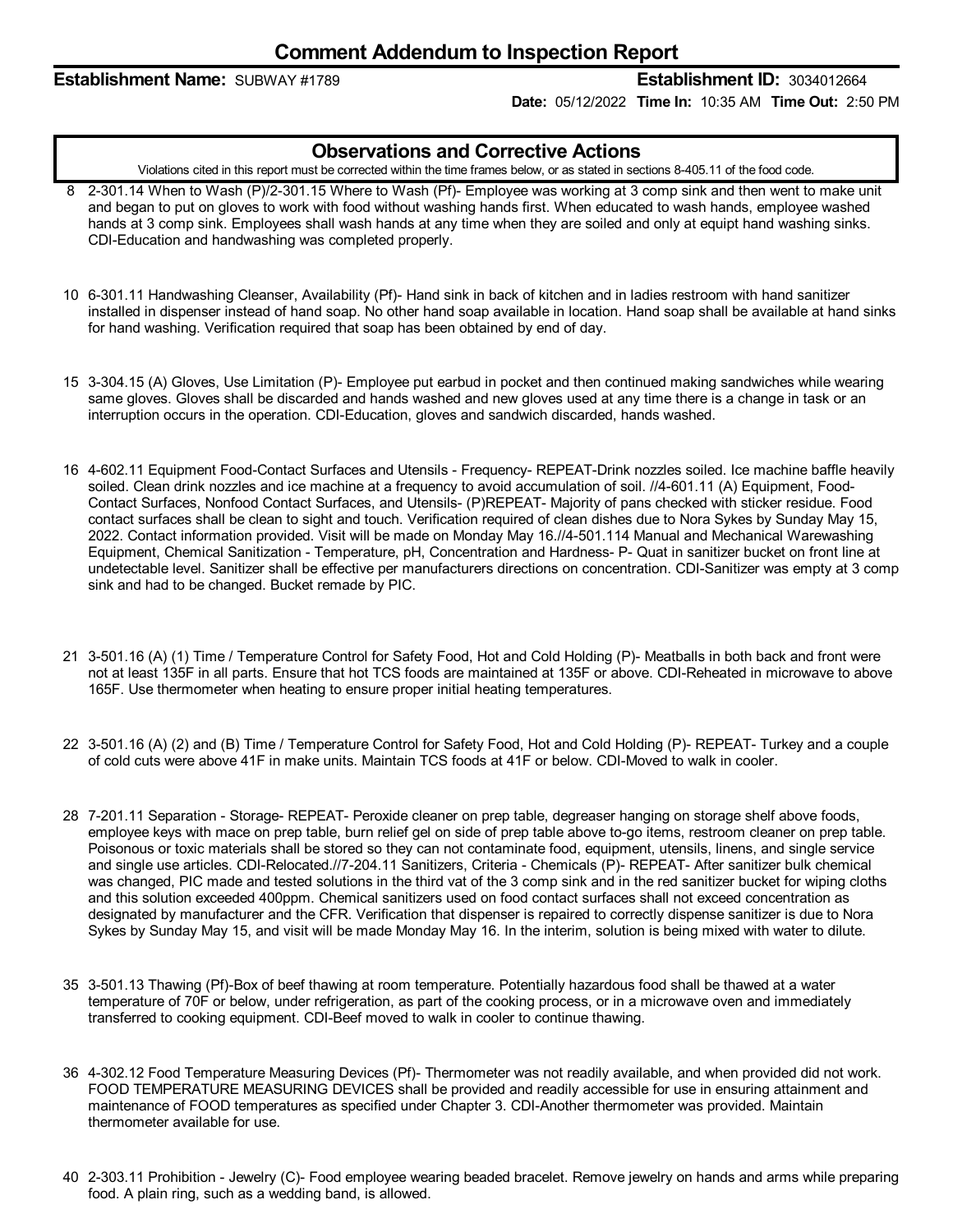#### **Establishment Name:** SUBWAY #1789 **Establishment ID:** 3034012664

**Date:** 05/12/2022 **Time In:** 10:35 AM **Time Out:** 2:50 PM

### **Observations and Corrective Actions**

Violations cited in this report must be corrected within the time frames below, or as stated in sections 8-405.11 of the food code.

- 8 2-301.14 When to Wash (P)/2-301.15 Where to Wash (Pf)- Employee was working at 3 comp sink and then went to make unit and began to put on gloves to work with food without washing hands first. When educated to wash hands, employee washed hands at 3 comp sink. Employees shall wash hands at any time when they are soiled and only at equipt hand washing sinks. CDI-Education and handwashing was completed properly.
- 10 6-301.11 Handwashing Cleanser, Availability (Pf)- Hand sink in back of kitchen and in ladies restroom with hand sanitizer installed in dispenser instead of hand soap. No other hand soap available in location. Hand soap shall be available at hand sinks for hand washing. Verification required that soap has been obtained by end of day.
- 15 3-304.15 (A) Gloves, Use Limitation (P)- Employee put earbud in pocket and then continued making sandwiches while wearing same gloves. Gloves shall be discarded and hands washed and new gloves used at any time there is a change in task or an interruption occurs in the operation. CDI-Education, gloves and sandwich discarded, hands washed.
- 16 4-602.11 Equipment Food-Contact Surfaces and Utensils -Frequency- REPEAT-Drink nozzles soiled. Ice machine baffle heavily soiled. Clean drink nozzles and ice machine at a frequency to avoid accumulation of soil. //4-601.11 (A) Equipment, Food- Contact Surfaces, Nonfood Contact Surfaces, and Utensils- (P)REPEAT- Majority of pans checked with sticker residue. Food contact surfaces shall be clean to sight and touch. Verification required of clean dishes due to Nora Sykes by Sunday May 15, 2022. Contact information provided. Visit will be made on Monday May 16.//4-501.114 Manual and Mechanical Warewashing Equipment, Chemical Sanitization - Temperature, pH, Concentration and Hardness- P- Quat in sanitizer bucket on front line at undetectable level. Sanitizer shall be effective per manufacturers directions on concentration. CDI-Sanitizer was empty at 3 comp sink and had to be changed. Bucket remade by PIC.
- 21 3-501.16 (A) (1) Time / Temperature Control for Safety Food, Hot and Cold Holding (P)- Meatballs in both back and front were not at least 135F in all parts. Ensure that hot TCS foods are maintained at 135F or above. CDI-Reheated in microwave to above 165F. Use thermometer when heating to ensure proper initial heating temperatures.
- 22 3-501.16 (A) (2) and (B) Time / Temperature Control for Safety Food, Hot and Cold Holding (P)- REPEAT- Turkey and a couple of cold cuts were above 41F in make units. Maintain TCS foods at 41F or below. CDI-Moved to walk in cooler.
- 28 7-201.11 Separation -Storage- REPEAT- Peroxide cleaner on prep table, degreaser hanging on storage shelf above foods, employee keys with mace on prep table, burn relief gel on side of prep table above to-go items, restroom cleaner on prep table. Poisonous or toxic materials shall be stored so they can not contaminate food, equipment, utensils, linens, and single service and single use articles. CDI-Relocated.//7-204.11 Sanitizers, Criteria - Chemicals (P)- REPEAT- After sanitizer bulk chemical was changed, PIC made and tested solutions in the third vat of the 3 comp sink and in the red sanitizer bucket for wiping cloths and this solution exceeded 400ppm. Chemical sanitizers used on food contact surfaces shall not exceed concentration as designated by manufacturer and the CFR. Verification that dispenser is repaired to correctly dispense sanitizer is due to Nora Sykes by Sunday May 15, and visit will be made Monday May 16. In the interim, solution is being mixed with water to dilute.
- 35 3-501.13 Thawing (Pf)-Box of beef thawing at room temperature. Potentially hazardous food shall be thawed at a water temperature of 70F or below, under refrigeration, as part of the cooking process, or in a microwave oven and immediately transferred to cooking equipment. CDI-Beef moved to walk in cooler to continue thawing.
- 36 4-302.12 Food Temperature Measuring Devices (Pf)- Thermometer was not readily available, and when provided did not work. FOOD TEMPERATURE MEASURING DEVICES shall be provided and readily accessible for use in ensuring attainment and maintenance of FOOD temperatures as specified under Chapter 3. CDI-Another thermometer was provided. Maintain thermometer available for use.
- 40 2-303.11 Prohibition Jewelry (C)- Food employee wearing beaded bracelet. Remove jewelry on hands and arms while preparing food. A plain ring, such as a wedding band, is allowed.